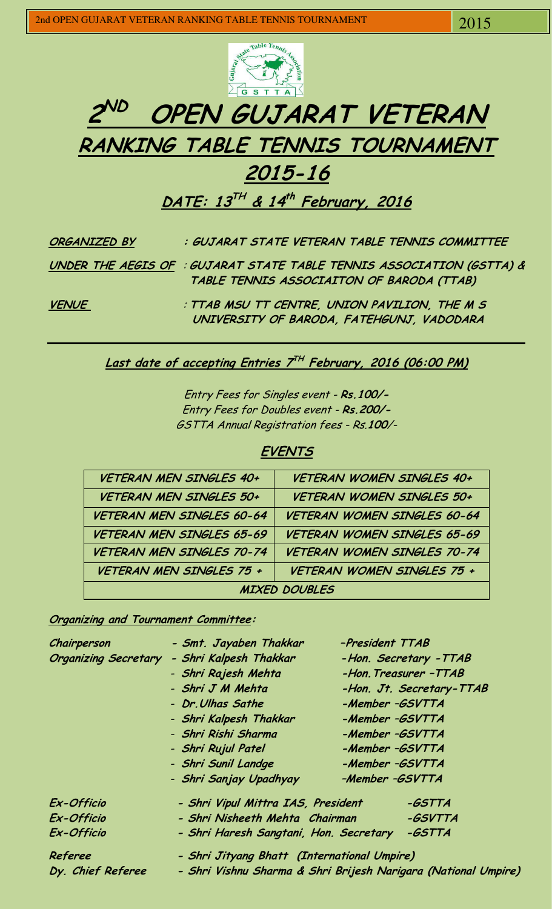



# **2015-16**

**DATE: 13 TH & 14 th February, 2016** 

| ORGANIZED BY | : GUJARAT STATE VETERAN TABLE TENNIS COMMITTEE                                                                     |
|--------------|--------------------------------------------------------------------------------------------------------------------|
|              | UNDER THE AEGIS OF : GUJARAT STATE TABLE TENNIS ASSOCIATION (GSTTA) &<br>TABLE TENNIS ASSOCIAITON OF BARODA (TTAB) |
| <b>VENUE</b> | : TTAB MSU TT CENTRE, UNION PAVILION, THE M S<br>UNIVERSITY OF BARODA, FATEHGUNJ, VADODARA                         |

### **Last date of accepting Entries 7 TH February, 2016 (06:00 PM)**

Entry Fees for Singles event - **Rs.100/-**  Entry Fees for Doubles event - **Rs.200/-**  GSTTA Annual Registration fees - Rs.**100**/-

#### **EVENTS**

| VETERAN MEN SINGLES 40+        | <b>VETERAN WOMEN SINGLES 40+</b>   |  |  |  |
|--------------------------------|------------------------------------|--|--|--|
| <b>VETERAN MEN SINGLES 50+</b> | <b>VETERAN WOMEN SINGLES 50+</b>   |  |  |  |
| VETERAN MEN SINGLES 60-64      | <b>VETERAN WOMEN SINGLES 60-64</b> |  |  |  |
| VETERAN MEN SINGLES 65-69      | <b>VETERAN WOMEN SINGLES 65-69</b> |  |  |  |
| VETERAN MEN SINGLES 70-74      | <b>VETERAN WOMEN SINGLES 70-74</b> |  |  |  |
| VETERAN MEN SINGLES 75 +       | VETERAN WOMEN SINGLES 75 +         |  |  |  |
| <b>MIXED DOUBLES</b>           |                                    |  |  |  |

**Organizing and Tournament Committee:** 

| Chairperson                 | - Smt. Jayaben Thakkar                                         | -President TTAB          |  |  |  |
|-----------------------------|----------------------------------------------------------------|--------------------------|--|--|--|
| <b>Organizing Secretary</b> | - Shri Kalpesh Thakkar                                         | -Hon. Secretary - TTAB   |  |  |  |
|                             | - Shri Rajesh Mehta                                            | -Hon. Treasurer -TTAB    |  |  |  |
|                             | - Shri J M Mehta                                               | -Hon. Jt. Secretary-TTAB |  |  |  |
|                             | - Dr. Ulhas Sathe                                              | -Member -GSVTTA          |  |  |  |
|                             | - Shri Kalpesh Thakkar                                         | -Member -GSVTTA          |  |  |  |
|                             | - Shri Rishi Sharma                                            | -Member -GSVTTA          |  |  |  |
|                             | - Shri Rujul Patel                                             | -Member -GSVTTA          |  |  |  |
|                             | - Shri Sunil Landge                                            | -Member -GSVTTA          |  |  |  |
|                             | - Shri Sanjay Upadhyay                                         | -Member -GSVTTA          |  |  |  |
| Ex-Officio                  | - Shri Vipul Mittra IAS, President                             | -GSTTA                   |  |  |  |
| Ex-Officio                  | - Shri Nisheeth Mehta Chairman                                 | -GSVTTA                  |  |  |  |
| Ex-Officio                  | - Shri Haresh Sangtani, Hon. Secretary                         | -GSTTA                   |  |  |  |
| Referee                     | - Shri Jityang Bhatt (International Umpire)                    |                          |  |  |  |
| Dy. Chief Referee           | - Shri Vishnu Sharma & Shri Brijesh Narigara (National Umpire) |                          |  |  |  |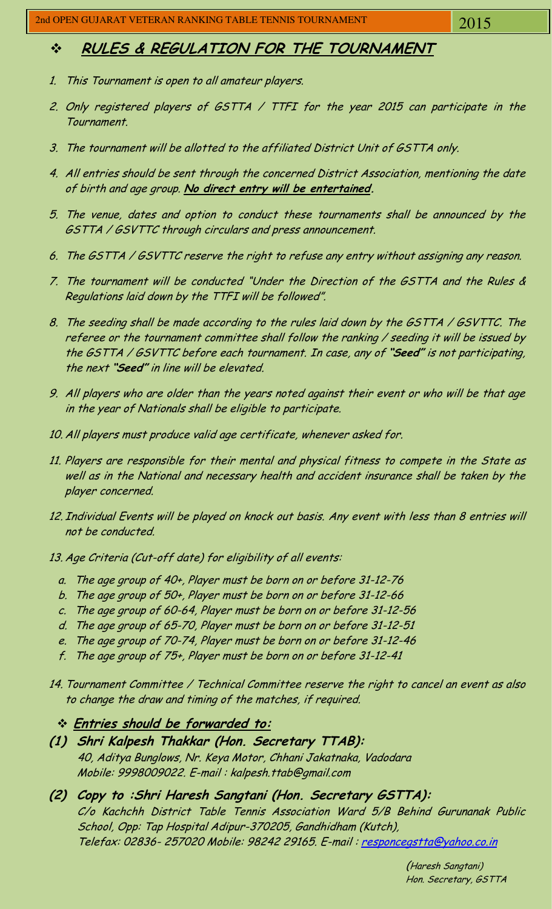## **RULES & REGULATION FOR THE TOURNAMENT**

- 1. This Tournament is open to all amateur players.
- 2. Only registered players of GSTTA / TTFI for the year 2015 can participate in the Tournament.
- 3. The tournament will be allotted to the affiliated District Unit of GSTTA only.
- 4. All entries should be sent through the concerned District Association, mentioning the date of birth and age group. **No direct entry will be entertained.**
- 5. The venue, dates and option to conduct these tournaments shall be announced by the GSTTA / GSVTTC through circulars and press announcement.
- 6. The GSTTA / GSVTTC reserve the right to refuse any entry without assigning any reason.
- 7. The tournament will be conducted "Under the Direction of the GSTTA and the Rules & Regulations laid down by the TTFI will be followed".
- 8. The seeding shall be made according to the rules laid down by the GSTTA / GSVTTC. The referee or the tournament committee shall follow the ranking / seeding it will be issued by the GSTTA / GSVTTC before each tournament. In case, any of **"Seed"** is not participating, the next **"Seed"** in line will be elevated.
- 9. All players who are older than the years noted against their event or who will be that age in the year of Nationals shall be eligible to participate.
- 10. All players must produce valid age certificate, whenever asked for.
- 11. Players are responsible for their mental and physical fitness to compete in the State as well as in the National and necessary health and accident insurance shall be taken by the player concerned.
- 12. Individual Events will be played on knock out basis. Any event with less than 8 entries will not be conducted.
- 13. Age Criteria (Cut-off date) for eligibility of all events:
	- a. The age group of 40+, Player must be born on or before 31-12-76
	- b. The age group of 50+, Player must be born on or before 31-12-66
	- c. The age group of 60-64, Player must be born on or before 31-12-56
	- d. The age group of 65-70, Player must be born on or before 31-12-51
	- e. The age group of 70-74, Player must be born on or before 31-12-46
	- f. The age group of 75+, Player must be born on or before 31-12-41
- 14. Tournament Committee / Technical Committee reserve the right to cancel an event as also to change the draw and timing of the matches, if required.
	- **Entries should be forwarded to:**
- **(1) Shri Kalpesh Thakkar (Hon. Secretary TTAB):** 40, Aditya Bunglows, Nr. Keya Motor, Chhani Jakatnaka, Vadodara Mobile: 9998009022. E-mail : [kalpesh.ttab@gmail.com](mailto:kalpesh.ttab@gmail.com)
- **(2) Copy to :Shri Haresh Sangtani (Hon. Secretary GSTTA):**  C/o Kachchh District Table Tennis Association Ward 5/B Behind Gurunanak Public School, Opp: Tap Hospital Adipur-370205, Gandhidham (Kutch), Telefax: 02836- 257020 Mobile: 98242 29165. E-mail : [responcegstta@yahoo.co.in](mailto:responcegstta@yahoo.co.in)

(Haresh Sangtani) Hon. Secretary, GSTTA